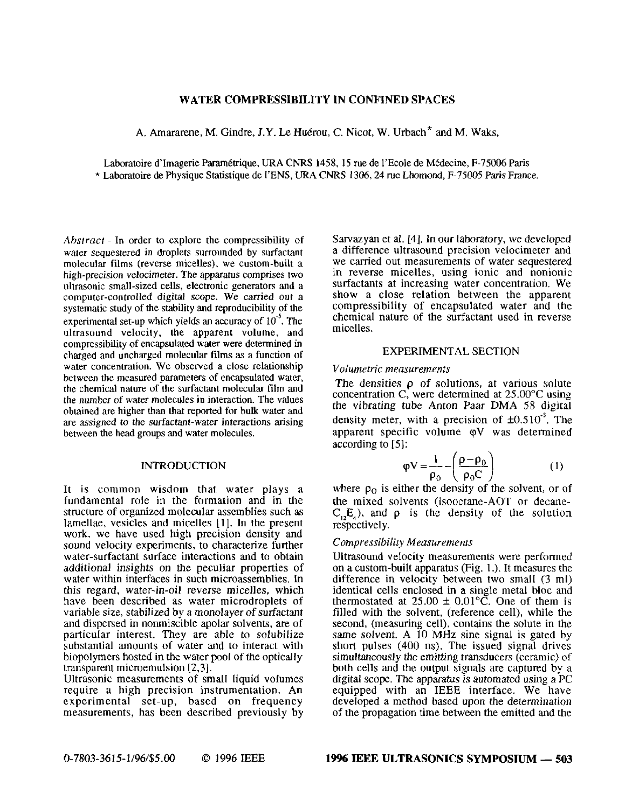### **WATER COMPRESSIBILITY IN CONFINED SPACES**

A. Amararene, M. Gindre, J.Y. Le Huérou, C. Nicot, W. Urbach<sup>\*</sup> and M. Waks,

\* Laboratoire de Physique Statistique de **I'ENS.** URA *CNRS* **130624** rue Lhomond, F-7.5005 Paris France. Laboratoire d'Imagerie Paramétrique, URA CNRS 1458, 15 rue de l'Ecole de Médecine, F-75006 Paris

*Abstract* - In order to explore the compressibility **of**  molecular films (reverse micelles), we custom-built a water sequestered in droplets surrounded by surfactant high-precision velocimeter. The apparatus comprises two ultrasonic small-sized cells, electronic generators and a computer-controlled digital scope. We carried out a systematic study of the stability and reproducibility of the experimental set-up which yields an accuracy of 10<sup>-5</sup>. The ultrasound velocity, the apparent volume, and compressibility of encapsulated water were determined in charged and uncharged molecular films as a function **of**  between the measured parameters of encapsulated water, water concentration. We observed a close relationship the chemical nature of the surfactant molecular film and the number of water molecules in interaction. The values obtained are higher than that reported for bulk water and are assigned **to** the surfactant-water interactions arising between the head groups and water molecules.

#### INTRODUCTION

It is common wisdom that water plays a fundamental role in the formation and in the structure of organized molecular assemblies such **as**  lamellae, vesicles and micelles [1]. In the present work, we have used high precision density and sound velocity experiments, to characterize further water-surfactant surface interactions and to obtain additional insights on the peculiar properties of water within interfaces in such microassemblies. In this regard, water-in-oil reverse micelles, which have been described as water microdroplets of variable size, stabilized by a monolayer of surfactant particular interest. They are able to solubilize and dispersed in nonmiscible apolar solvents, are of substantial amounts of water and to interact with biopolymers hosted in the water pool of the optically transparent microemulsion [2,3].

Ultrasonic measurements **of** small liquid volumes experimental set-up, based on frequency require a high precision instrumentation. An measurements, has been described previously by Sarvazyan et al. [4]. In our laboratory, we developed we carried out measurements of water sequestered a difference ultrasound precision velocimeter and surfactants at increasing water concentration. We in reverse micelles, using ionic and nonionic compressibility of encapsulated water and the show aclose relation between the apparent micelles. chemical nature of the surfactant used in reverse

### EXPERIMENTAL SECTION

#### *Volumetric measurements*

The densities  $\rho$  of solutions, at various so concentration C, were determined at  $25.00^{\circ}$ C using the vibrating tube Anton Paar DMA 58 digital density meter, with a precision of  $\pm 0.510^5$ . The apparent specific volume  $\varphi V$  was determined according to **151:** 

$$
\varphi V = \frac{1}{\rho_0} - \left(\frac{\rho - \rho_0}{\rho_0 C}\right) \tag{1}
$$

where  $p_0$  is either the density of the solvent, or of the mixed solvents (isooctane-AOT or decane- $C_{12}E_{4}$ ), and  $\rho$  is the density of the solution respectively.

### *Compressibility Measurements*

Ultrasound velocity measurements were performed on a custom-built apparatus (Fig. 1.). It measures the difference in velocity between two small  $(3 \text{ ml})$ identical cells enclosed in a single metal bloc and thermostated at  $25.00 \pm 0.01$ °C. One of them is filled with the solvent, (reference cell), while the second, (measuring cell), contains the solute in the same solvent. A 10 MHz sine signal is gated by short pulses (400 ns). The issued signal drives simultaneously the emitting transducers (ceramic) of **both** cells and the output signals are captured by a digital scope. The apparatus is automated using a PC equipped with an IEEE interface. We have developed a method based upon the determination of the propagation time between the emitted and the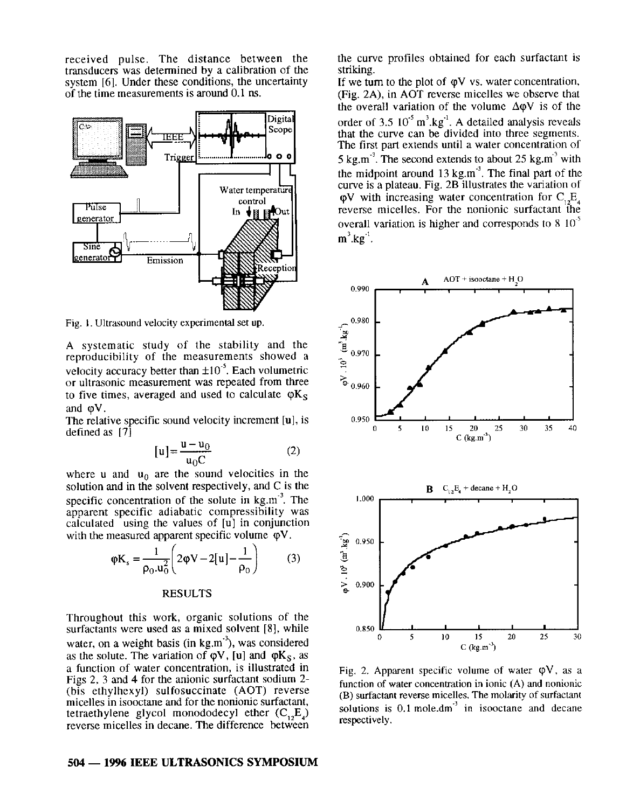transducers was determined by a calibration of the system [6]. Under these conditions, the uncertainty system [6]. Under these conditions, the uncertainty If we turn to the plot of  $\varphi V$  vs. water concentration, of the time measurements is around 0.1 ns. (Fig. 2A) in AOT reverse micelles we observe that



Fig. 1. Ultrasound velocity experimental set up.

**A** systematic study of the stability and the reproducibility of the measurements showed a velocity accuracy better than  $\pm 10^{-3}$ . Each volumetric or ultrasonic measurement was repeated from three to five times, averaged and used to calculate  $\phi K_{S}$ and  $\omega V$ .

The relative specific sound velocity increment **[U],** is defined as [7]

$$
[u] = \frac{u - u_0}{u_0 C} \tag{2}
$$

where u and  $u_0$  are the sound velocities in the solution and in the solvent respectively, and C is the specific concentration of the solute in  $kg.m<sup>-3</sup>$ . The apparent specific adiabatic compressibility was calculated using the values of  $[u]$  in conjunction with the measured apparent specific volume  $\phi V$ .

$$
\varphi K_s = \frac{1}{\rho_0.u_0^2} \left( 2\varphi V - 2[u] - \frac{1}{\rho_0} \right) \tag{3}
$$

### **RESULTS**

Throughout this work, organic solutions of the surfactants were used as a mixed solvent **[S],** while water, on a weight basis (in  $kg.m<sup>3</sup>$ ), was considered as the solute. The variation of  $\varphi V$ , [u] and  $\varphi K_S$ , as Figs *2,* 3 and **4** for the anionic surfactant sodium **2**  a function of water concentration, is illustrated in micelles in isooctane and for the nonionic surfactant, (bis ethylhexyl) sulfosuccinate **(AOT)** reverse tetraethylene glycol monododecyl ether  $(C_1, E_1)$ reverse micelles in decane. The difference between

### **504** - **1996 IEEE ULTRASONICS SYMPOSIUM**

received pulse. The distance between the the curve profiles obtained for each surfactant is transducers was determined by a calibration of the striking.

of the time measurements is around 0.1 **11s.** (Fie. **2AL** in **AOT** reverse micelles we observe that the overall variation of the volume  $\Delta \phi V$  is of the order of  $3.5 \times 10^{-5}$  m<sup>3</sup>.kg<sup>-1</sup>. A detailed analysis reveals that the curve can be divided into three segments. The first part extends until a water concentration of 5 kg,m<sup>3</sup>. The second extends to about 25 kg,m<sup>3</sup> with the midpoint around 13 kg.m<sup>-3</sup>. The final part of the curve is a plateau. Fig. **2B** illustrates the variation of  $\varphi$ V with increasing water concentration for C<sub>12</sub>E<sub>4</sub> reverse micelles. For the nonionic surfactant the overall variation is higher and corresponds to  $8 \times 10^{-5}$  $m^3$ .kg<sup>-1</sup>.



[Fig.](#page--1-0) 2. Apparent specific volume of water  $\varphi V$ , as a function of water concentration in ionic (A) and nonionic (B) surfactant reverse micelles. The molarity of surfactant respectively. solutions is  $0.1$  mole.dm<sup>3</sup> in isooctane and decane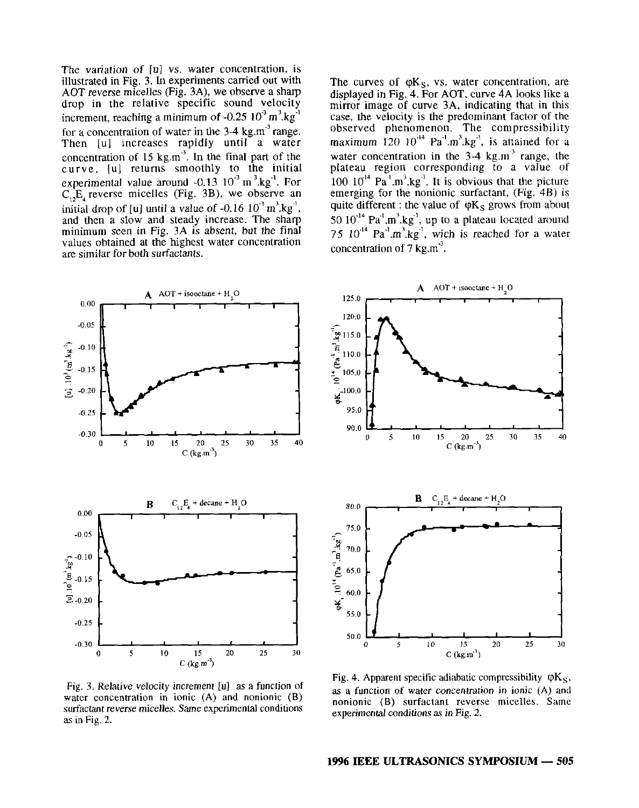The variation of **[U]** vs. water concentration, is illustrated in Fig. 3. In experiments camed out with AOT reverse micelles (Fig. **3A),** we observe a sharp drop in the relative specific sound velocity increment, reaching a minimum of  $-0.25 \times 10^{-3} \text{ m}^3 \text{ kg}^{-1}$ Then [u] increases rapidly until a water for a concentration of water in the 3-4 kg.m<sup>-3</sup> range. curve, **[U]** returns smoothly to the initial concentration of 15 kg.m<sup>3</sup>. In the final part of the experimental value around  $-0.13$  10<sup> $\degree$ </sup> m $^3$ .kg<sup> $-1$ </sup>. For  $C_{12}E_{4}$  reverse micelles (Fig. 3B), we observe initial drop of [u] until a value of  $-0.16 \times 10^{-3} \text{ m}^3 \text{ kg}^3$ , minimum seen in Fig. **3A** is absent, but the final and then a slow and steady increase. The sharp values obtained at the highest water concentration are similar for both surfactants.

The curves of  $\phi K_S$ , vs. water concentration, are displayed in Fig. **4.** For **AOT.** curve **4A** looks like a mirror image of curve **3A,** indicating that in this case, the velocity is the predominant factor of the observed phenomenon. The compressibility maximum 120  $10^{-14}$  Pa<sup>-1</sup>.m<sup>3</sup>.kg<sup>-1</sup>, is attained for a water concentration in the  $3-4$  kg.m<sup>3</sup> range, the plateau region corresponding to a value of emerging for the nonionic surfactant, (Fig. **4B)** is  $100 \frac{10^{14} \text{ Pa}^{-1} \cdot \text{m}^3 \cdot \text{kg}^{-1}}{100 \text{ J}}$ . It is obvious that the picture quite different : the value of  $\varphi K_S$  grows from about 50  $10^{-14}$  Pa<sup>'</sup>.m<sup>3</sup>.kg<sup>-1</sup>, up to a plateau located arou 75  $10^{-14}$  Pa<sup>-1</sup>.m<sup>3</sup>.kg<sup>-1</sup>, wich is reached for a water concentration of 7 kg.m<sup>-3</sup>.



water concentration in ionic (A) and nonionic (B) Fig. *3.* Relative velocity increment *[U]* as a function **of**  surfactant reverse micelles. Same experimental conditions **as** in Fig. 2.

Fig. 4. Apparent specific adiabatic compressibility  $\phi K_s$ , **as** a function *of* water concentration in ionic **(A)** and experimental conditions **as** in Fig. 2. nonionic (B) surfactant reverse micelles. Same